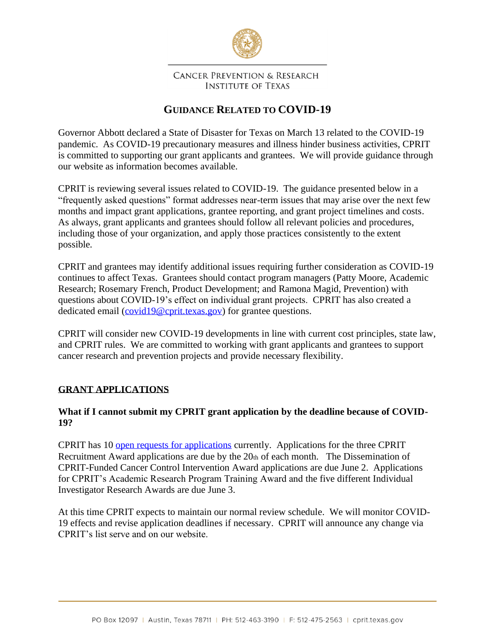

#### **CANCER PREVENTION & RESEARCH INSTITUTE OF TEXAS**

# **GUIDANCE RELATED TO COVID-19**

Governor Abbott declared a State of Disaster for Texas on March 13 related to the COVID-19 pandemic. As COVID-19 precautionary measures and illness hinder business activities, CPRIT is committed to supporting our grant applicants and grantees. We will provide guidance through our website as information becomes available.

CPRIT is reviewing several issues related to COVID-19. The guidance presented below in a "frequently asked questions" format addresses near-term issues that may arise over the next few months and impact grant applications, grantee reporting, and grant project timelines and costs. As always, grant applicants and grantees should follow all relevant policies and procedures, including those of your organization, and apply those practices consistently to the extent possible.

CPRIT and grantees may identify additional issues requiring further consideration as COVID-19 continues to affect Texas. Grantees should contact program managers (Patty Moore, Academic Research; Rosemary French, Product Development; and Ramona Magid, Prevention) with questions about COVID-19's effect on individual grant projects. CPRIT has also created a dedicated email [\(covid19@cprit.texas.gov\)](mailto:covid19@cprit.texas.gov) for grantee questions.

CPRIT will consider new COVID-19 developments in line with current cost principles, state law, and CPRIT rules. We are committed to working with grant applicants and grantees to support cancer research and prevention projects and provide necessary flexibility.

# **GRANT APPLICATIONS**

### **What if I cannot submit my CPRIT grant application by the deadline because of COVID-19?**

CPRIT has 10 [open requests for applications](https://cprit.texas.gov/funding-opportunities) currently. Applications for the three CPRIT Recruitment Award applications are due by the  $20<sub>th</sub>$  of each month. The Dissemination of CPRIT-Funded Cancer Control Intervention Award applications are due June 2. Applications for CPRIT's Academic Research Program Training Award and the five different Individual Investigator Research Awards are due June 3.

At this time CPRIT expects to maintain our normal review schedule. We will monitor COVID-19 effects and revise application deadlines if necessary. CPRIT will announce any change via CPRIT's list serve and on our website.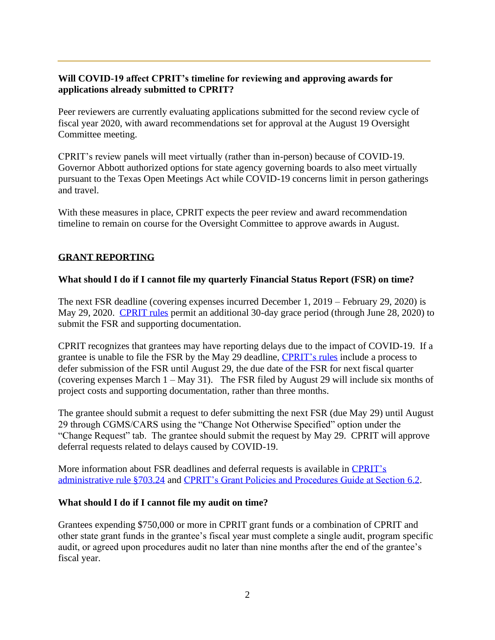# **Will COVID-19 affect CPRIT's timeline for reviewing and approving awards for applications already submitted to CPRIT?**

Peer reviewers are currently evaluating applications submitted for the second review cycle of fiscal year 2020, with award recommendations set for approval at the August 19 Oversight Committee meeting.

CPRIT's review panels will meet virtually (rather than in-person) because of COVID-19. Governor Abbott authorized options for state agency governing boards to also meet virtually pursuant to the Texas Open Meetings Act while COVID-19 concerns limit in person gatherings and travel.

With these measures in place, CPRIT expects the peer review and award recommendation timeline to remain on course for the Oversight Committee to approve awards in August.

# **GRANT REPORTING**

### **What should I do if I cannot file my quarterly Financial Status Report (FSR) on time?**

The next FSR deadline (covering expenses incurred December 1, 2019 – February 29, 2020) is May 29, 2020. [CPRIT rules](https://texreg.sos.state.tx.us/public/readtac$ext.TacPage?sl=R&app=9&p_dir=&p_rloc=&p_tloc=&p_ploc=&pg=1&p_tac=&ti=25&pt=11&ch=703&rl=24) permit an additional 30-day grace period (through June 28, 2020) to submit the FSR and supporting documentation.

CPRIT recognizes that grantees may have reporting delays due to the impact of COVID-19. If a grantee is unable to file the FSR by the May 29 deadline, [CPRIT's rules](https://texreg.sos.state.tx.us/public/readtac$ext.TacPage?sl=R&app=9&p_dir=&p_rloc=&p_tloc=&p_ploc=&pg=1&p_tac=&ti=25&pt=11&ch=703&rl=24) include a process to defer submission of the FSR until August 29, the due date of the FSR for next fiscal quarter (covering expenses March 1 – May 31). The FSR filed by August 29 will include six months of project costs and supporting documentation, rather than three months.

The grantee should submit a request to defer submitting the next FSR (due May 29) until August 29 through CGMS/CARS using the "Change Not Otherwise Specified" option under the "Change Request" tab. The grantee should submit the request by May 29. CPRIT will approve deferral requests related to delays caused by COVID-19.

More information about FSR deadlines and deferral requests is available in [CPRIT's](https://texreg.sos.state.tx.us/public/readtac$ext.TacPage?sl=R&app=9&p_dir=&p_rloc=&p_tloc=&p_ploc=&pg=1&p_tac=&ti=25&pt=11&ch=703&rl=24)  [administrative rule §703.24](https://texreg.sos.state.tx.us/public/readtac$ext.TacPage?sl=R&app=9&p_dir=&p_rloc=&p_tloc=&p_ploc=&pg=1&p_tac=&ti=25&pt=11&ch=703&rl=24) and [CPRIT's Grant Policies and Procedures Guide at Section 6.2.](https://cprit.texas.gov/media/2152/policy_and_procedure_guide_122019.pdf)

### **What should I do if I cannot file my audit on time?**

Grantees expending \$750,000 or more in CPRIT grant funds or a combination of CPRIT and other state grant funds in the grantee's fiscal year must complete a single audit, program specific audit, or agreed upon procedures audit no later than nine months after the end of the grantee's fiscal year.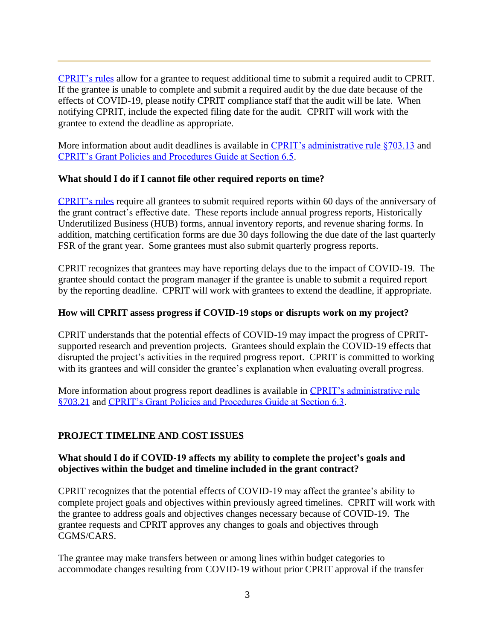[CPRIT's rules](https://texreg.sos.state.tx.us/public/readtac$ext.TacPage?sl=R&app=9&p_dir=&p_rloc=&p_tloc=&p_ploc=&pg=1&p_tac=&ti=25&pt=11&ch=703&rl=13) allow for a grantee to request additional time to submit a required audit to CPRIT. If the grantee is unable to complete and submit a required audit by the due date because of the effects of COVID-19, please notify CPRIT compliance staff that the audit will be late. When notifying CPRIT, include the expected filing date for the audit. CPRIT will work with the grantee to extend the deadline as appropriate.

More information about audit deadlines is available in [CPRIT's administrative rule §703.13](https://texreg.sos.state.tx.us/public/readtac$ext.TacPage?sl=R&app=9&p_dir=&p_rloc=&p_tloc=&p_ploc=&pg=1&p_tac=&ti=25&pt=11&ch=703&rl=13) and [CPRIT's Grant Policies and Procedures Guide at Section 6.5.](https://cprit.texas.gov/media/2152/policy_and_procedure_guide_122019.pdf)

### **What should I do if I cannot file other required reports on time?**

[CPRIT's](https://texreg.sos.state.tx.us/public/readtac$ext.TacPage?sl=R&app=9&p_dir=&p_rloc=&p_tloc=&p_ploc=&pg=1&p_tac=&ti=25&pt=11&ch=703&rl=21) rules require all grantees to submit required reports within 60 days of the anniversary of the grant contract's effective date. These reports include annual progress reports, Historically Underutilized Business (HUB) forms, annual inventory reports, and revenue sharing forms. In addition, matching certification forms are due 30 days following the due date of the last quarterly FSR of the grant year. Some grantees must also submit quarterly progress reports.

CPRIT recognizes that grantees may have reporting delays due to the impact of COVID-19. The grantee should contact the program manager if the grantee is unable to submit a required report by the reporting deadline. CPRIT will work with grantees to extend the deadline, if appropriate.

#### **How will CPRIT assess progress if COVID-19 stops or disrupts work on my project?**

CPRIT understands that the potential effects of COVID-19 may impact the progress of CPRITsupported research and prevention projects. Grantees should explain the COVID-19 effects that disrupted the project's activities in the required progress report. CPRIT is committed to working with its grantees and will consider the grantee's explanation when evaluating overall progress.

More information about progress report deadlines is available in [CPRIT's administrative rule](https://texreg.sos.state.tx.us/public/readtac$ext.TacPage?sl=R&app=9&p_dir=&p_rloc=&p_tloc=&p_ploc=&pg=1&p_tac=&ti=25&pt=11&ch=703&rl=21)  [§703.21](https://texreg.sos.state.tx.us/public/readtac$ext.TacPage?sl=R&app=9&p_dir=&p_rloc=&p_tloc=&p_ploc=&pg=1&p_tac=&ti=25&pt=11&ch=703&rl=21) and [CPRIT's Grant Policies and Procedures Guide at Section 6.3.](https://cprit.texas.gov/media/2152/policy_and_procedure_guide_122019.pdf)

### **PROJECT TIMELINE AND COST ISSUES**

### **What should I do if COVID-19 affects my ability to complete the project's goals and objectives within the budget and timeline included in the grant contract?**

CPRIT recognizes that the potential effects of COVID-19 may affect the grantee's ability to complete project goals and objectives within previously agreed timelines. CPRIT will work with the grantee to address goals and objectives changes necessary because of COVID-19. The grantee requests and CPRIT approves any changes to goals and objectives through CGMS/CARS.

The grantee may make transfers between or among lines within budget categories to accommodate changes resulting from COVID-19 without prior CPRIT approval if the transfer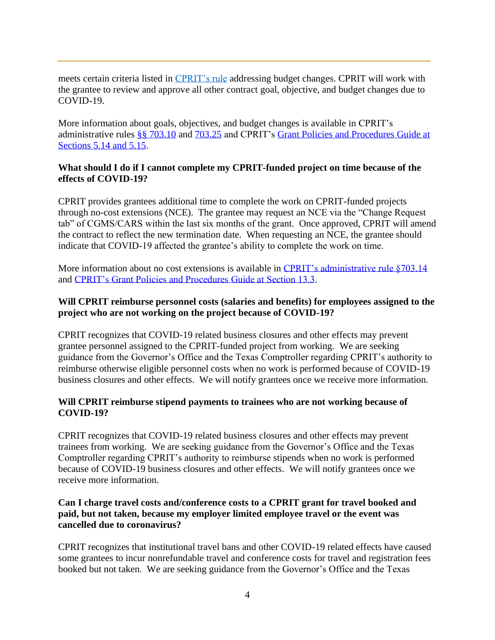meets certain criteria listed in [CPRIT's rule](https://texreg.sos.state.tx.us/public/readtac$ext.TacPage?sl=R&app=9&p_dir=&p_rloc=&p_tloc=&p_ploc=&pg=1&p_tac=&ti=25&pt=11&ch=703&rl=25) addressing budget changes. CPRIT will work with the grantee to review and approve all other contract goal, objective, and budget changes due to COVID-19.

More information about goals, objectives, and budget changes is available in CPRIT's administrative rules [§§ 703.10](https://texreg.sos.state.tx.us/public/readtac$ext.TacPage?sl=R&app=9&p_dir=&p_rloc=&p_tloc=&p_ploc=&pg=1&p_tac=&ti=25&pt=11&ch=703&rl=10) and [703.25](https://texreg.sos.state.tx.us/public/readtac$ext.TacPage?sl=R&app=9&p_dir=&p_rloc=&p_tloc=&p_ploc=&pg=1&p_tac=&ti=25&pt=11&ch=703&rl=25) and CPRIT's [Grant Policies and Procedures Guide at](https://cprit.texas.gov/media/2152/policy_and_procedure_guide_122019.pdf)  [Sections 5.14 and 5.15.](https://cprit.texas.gov/media/2152/policy_and_procedure_guide_122019.pdf)

### **What should I do if I cannot complete my CPRIT-funded project on time because of the effects of COVID-19?**

CPRIT provides grantees additional time to complete the work on CPRIT-funded projects through no-cost extensions (NCE). The grantee may request an NCE via the "Change Request tab" of CGMS/CARS within the last six months of the grant. Once approved, CPRIT will amend the contract to reflect the new termination date. When requesting an NCE, the grantee should indicate that COVID-19 affected the grantee's ability to complete the work on time.

More information about no cost extensions is available in CPRIT's administrative rule \$703.14 and [CPRIT's Grant Policies and Procedures Guide at Section 13.3.](https://cprit.texas.gov/media/2152/policy_and_procedure_guide_122019.pdf)

### **Will CPRIT reimburse personnel costs (salaries and benefits) for employees assigned to the project who are not working on the project because of COVID-19?**

CPRIT recognizes that COVID-19 related business closures and other effects may prevent grantee personnel assigned to the CPRIT-funded project from working. We are seeking guidance from the Governor's Office and the Texas Comptroller regarding CPRIT's authority to reimburse otherwise eligible personnel costs when no work is performed because of COVID-19 business closures and other effects. We will notify grantees once we receive more information.

### **Will CPRIT reimburse stipend payments to trainees who are not working because of COVID-19?**

CPRIT recognizes that COVID-19 related business closures and other effects may prevent trainees from working. We are seeking guidance from the Governor's Office and the Texas Comptroller regarding CPRIT's authority to reimburse stipends when no work is performed because of COVID-19 business closures and other effects. We will notify grantees once we receive more information.

### **Can I charge travel costs and/conference costs to a CPRIT grant for travel booked and paid, but not taken, because my employer limited employee travel or the event was cancelled due to coronavirus?**

CPRIT recognizes that institutional travel bans and other COVID-19 related effects have caused some grantees to incur nonrefundable travel and conference costs for travel and registration fees booked but not taken. We are seeking guidance from the Governor's Office and the Texas